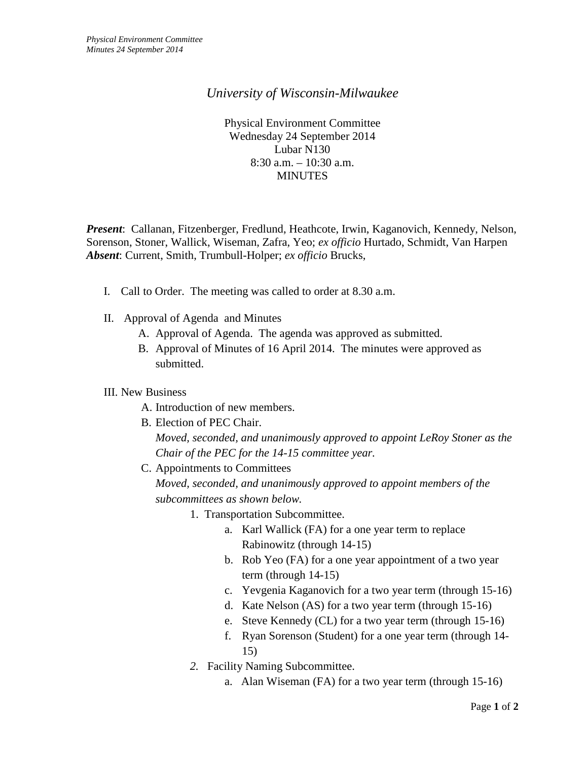## *University of Wisconsin-Milwaukee*

Physical Environment Committee Wednesday 24 September 2014 Lubar N130 8:30 a.m. – 10:30 a.m. **MINUTES** 

*Present*: Callanan, Fitzenberger, Fredlund, Heathcote, Irwin, Kaganovich, Kennedy, Nelson, Sorenson, Stoner, Wallick, Wiseman, Zafra, Yeo; *ex officio* Hurtado, Schmidt, Van Harpen *Absent*: Current, Smith, Trumbull-Holper; *ex officio* Brucks,

- I. Call to Order. The meeting was called to order at 8.30 a.m.
- II. Approval of Agenda and Minutes
	- A. Approval of Agenda. The agenda was approved as submitted.
	- B. Approval of Minutes of 16 April 2014. The minutes were approved as submitted.

## III. New Business

A. Introduction of new members.

B. Election of PEC Chair.

*Moved, seconded, and unanimously approved to appoint LeRoy Stoner as the Chair of the PEC for the 14-15 committee year.*

C. Appointments to Committees

*Moved, seconded, and unanimously approved to appoint members of the subcommittees as shown below.* 

- 1. Transportation Subcommittee.
	- a. Karl Wallick (FA) for a one year term to replace Rabinowitz (through 14-15)
	- b. Rob Yeo (FA) for a one year appointment of a two year term (through 14-15)
	- c. Yevgenia Kaganovich for a two year term (through 15-16)
	- d. Kate Nelson (AS) for a two year term (through 15-16)
	- e. Steve Kennedy (CL) for a two year term (through 15-16)
	- f. Ryan Sorenson (Student) for a one year term (through 14- 15)
- *2.* Facility Naming Subcommittee.
	- a. Alan Wiseman (FA) for a two year term (through 15-16)